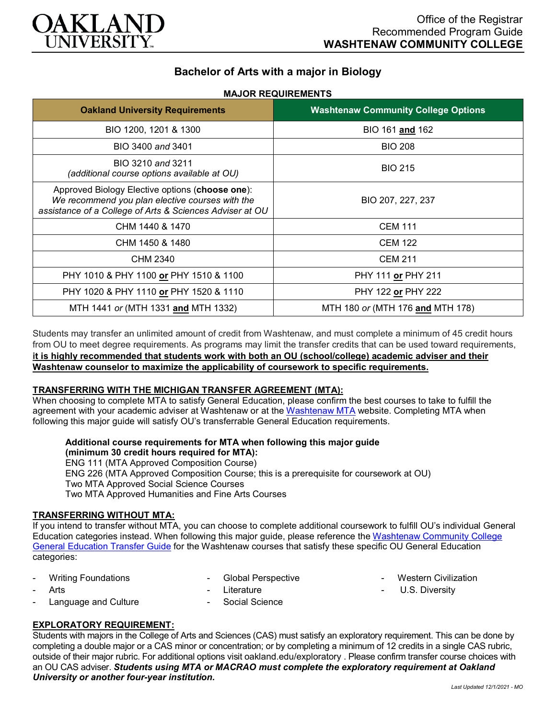

# **Bachelor of Arts with a major in Biology**

## **MAJOR REQUIREMENTS**

| <b>Oakland University Requirements</b>                                                                                                                         | <b>Washtenaw Community College Options</b> |
|----------------------------------------------------------------------------------------------------------------------------------------------------------------|--------------------------------------------|
| BIO 1200, 1201 & 1300                                                                                                                                          | BIO 161 and 162                            |
| BIO 3400 and 3401                                                                                                                                              | <b>BIO 208</b>                             |
| BIO 3210 and 3211<br>(additional course options available at OU)                                                                                               | <b>BIO 215</b>                             |
| Approved Biology Elective options (choose one):<br>We recommend you plan elective courses with the<br>assistance of a College of Arts & Sciences Adviser at OU | BIO 207, 227, 237                          |
| CHM 1440 & 1470                                                                                                                                                | <b>CEM 111</b>                             |
| CHM 1450 & 1480                                                                                                                                                | <b>CEM 122</b>                             |
| CHM 2340                                                                                                                                                       | <b>CEM 211</b>                             |
| PHY 1010 & PHY 1100 or PHY 1510 & 1100                                                                                                                         | PHY 111 or PHY 211                         |
| PHY 1020 & PHY 1110 or PHY 1520 & 1110                                                                                                                         | PHY 122 or PHY 222                         |
| MTH 1441 or (MTH 1331 and MTH 1332)                                                                                                                            | MTH 180 or (MTH 176 and MTH 178)           |

Students may transfer an unlimited amount of credit from Washtenaw, and must complete a minimum of 45 credit hours from OU to meet degree requirements. As programs may limit the transfer credits that can be used toward requirements, **it is highly recommended that students work with both an OU (school/college) academic adviser and their Washtenaw counselor to maximize the applicability of coursework to specific requirements.**

#### **TRANSFERRING WITH THE MICHIGAN TRANSFER AGREEMENT (MTA):**

When choosing to complete MTA to satisfy General Education, please confirm the best courses to take to fulfill the agreement with your academic adviser at Washtenaw or at the [Washtenaw MTA](https://www.wccnet.edu/learn/transfer-wcc-credits/mta.php) website. Completing MTA when following this major guide will satisfy OU's transferrable General Education requirements.

#### **Additional course requirements for MTA when following this major guide (minimum 30 credit hours required for MTA):**

ENG 111 (MTA Approved Composition Course) ENG 226 (MTA Approved Composition Course; this is a prerequisite for coursework at OU) Two MTA Approved Social Science Courses Two MTA Approved Humanities and Fine Arts Courses

#### **TRANSFERRING WITHOUT MTA:**

If you intend to transfer without MTA, you can choose to complete additional coursework to fulfill OU's individual General Education categories instead. When following this major guide, please reference the [Washtenaw Community College](https://www.oakland.edu/Assets/Oakland/program-guides/washtenaw-community-college/university-general-education-requirements/Washtenaw%20Gen%20Ed.pdf)  [General Education Transfer Guide](https://www.oakland.edu/Assets/Oakland/program-guides/washtenaw-community-college/university-general-education-requirements/Washtenaw%20Gen%20Ed.pdf) for the Washtenaw courses that satisfy these specific OU General Education categories:

- Writing Foundations
- **Arts** 
	- Language and Culture
- **Literature**

- Global Perspective

Social Science

- **Western Civilization**
- U.S. Diversity

### **EXPLORATORY REQUIREMENT:**

Students with majors in the College of Arts and Sciences (CAS) must satisfy an exploratory requirement. This can be done by completing a double major or a CAS minor or concentration; or by completing a minimum of 12 credits in a single CAS rubric, outside of their major rubric. For additional options visit [oakland.edu/exploratory](http://www.oakland.edu/exploratory) . Please confirm transfer course choices with an OU CAS adviser. *Students using MTA or MACRAO must complete the exploratory requirement at Oakland University or another four-year institution.*